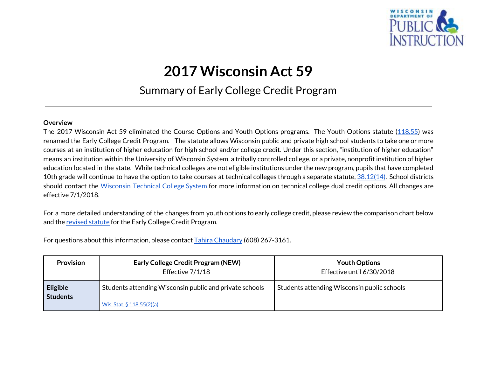

## **2017 Wisconsin Act 59**

## Summary of Early College Credit Program

## **Overview**

The 2017 Wisconsin Act 59 eliminated the Course Options and Youth Options programs. The Youth Options statute ([118.55](http://docs.legis.wisconsin.gov/statutes/statutes/118/55)) was renamed the Early College Credit Program. The statute allows Wisconsin public and private high school students to take one or more courses at an institution of higher education for high school and/or college credit. Under this section, "institution of higher education" means an institution within the University of Wisconsin System, a tribally controlled college, or a private, nonprofit institution of higher education located in the state. While technical colleges are not eligible institutions under the new program, pupils that have completed 10th grade will continue to have the option to take courses at technical colleges through a separate statute,  $38.12(14)$ . School districts should contact the [Wisconsin](mailto:ann.westrich@wtcsystem.edu) Technical College System for more information on technical college dual credit options. All changes are effective 7/1/2018.

For a more detailed understanding of the changes from youth options to early college credit, please review the comparison chart below and the [revised](http://docs.legis.wisconsin.gov/statutes/statutes/118/55) statute for the Early College Credit Program.

For questions about this information, please contact Tahira [Chaudary](mailto:tahira.chaudary@dpi.wi.gov) (608) 267-3161.

| <b>Provision</b>                   | <b>Early College Credit Program (NEW)</b><br>Effective 7/1/18 | <b>Youth Options</b><br>Effective until 6/30/2018 |
|------------------------------------|---------------------------------------------------------------|---------------------------------------------------|
| <b>Eligible</b><br><b>Students</b> | Students attending Wisconsin public and private schools       | Students attending Wisconsin public schools       |
|                                    | Wis. Stat. $\S 118.55(2)(a)$                                  |                                                   |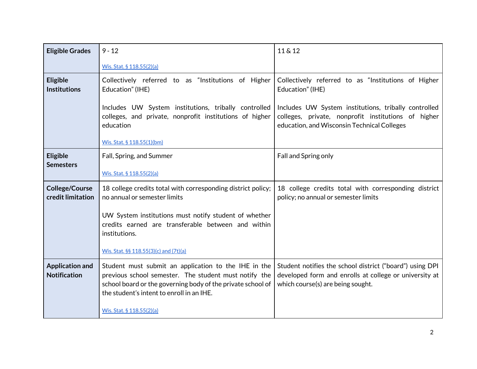| <b>Eligible Grades</b>                        | $9 - 12$                                                                                                                                                                                                                  | 11 & 12                                                                                                                                                    |
|-----------------------------------------------|---------------------------------------------------------------------------------------------------------------------------------------------------------------------------------------------------------------------------|------------------------------------------------------------------------------------------------------------------------------------------------------------|
|                                               | Wis. Stat. § 118.55(2)(a)                                                                                                                                                                                                 |                                                                                                                                                            |
| <b>Eligible</b><br><b>Institutions</b>        | Collectively referred to as "Institutions of Higher<br>Education" (IHE)                                                                                                                                                   | Collectively referred to as "Institutions of Higher<br>Education" (IHE)                                                                                    |
|                                               | Includes UW System institutions, tribally controlled<br>colleges, and private, nonprofit institutions of higher<br>education<br>Wis. Stat. § 118.55(1)(bm)                                                                | Includes UW System institutions, tribally controlled<br>colleges, private, nonprofit institutions of higher<br>education, and Wisconsin Technical Colleges |
| <b>Eligible</b><br><b>Semesters</b>           | Fall, Spring, and Summer<br>Wis. Stat. § 118.55(2)(a)                                                                                                                                                                     | Fall and Spring only                                                                                                                                       |
| <b>College/Course</b><br>credit limitation    | 18 college credits total with corresponding district policy;<br>no annual or semester limits                                                                                                                              | 18 college credits total with corresponding district<br>policy; no annual or semester limits                                                               |
|                                               | UW System institutions must notify student of whether<br>credits earned are transferable between and within<br>institutions.                                                                                              |                                                                                                                                                            |
|                                               | Wis. Stat. §§ 118.55(3)(c) and (7t)(a)                                                                                                                                                                                    |                                                                                                                                                            |
| <b>Application and</b><br><b>Notification</b> | Student must submit an application to the IHE in the<br>previous school semester. The student must notify the<br>school board or the governing body of the private school of<br>the student's intent to enroll in an IHE. | Student notifies the school district ("board") using DPI<br>developed form and enrolls at college or university at<br>which course(s) are being sought.    |
|                                               | Wis. Stat. § 118.55(2)(a)                                                                                                                                                                                                 |                                                                                                                                                            |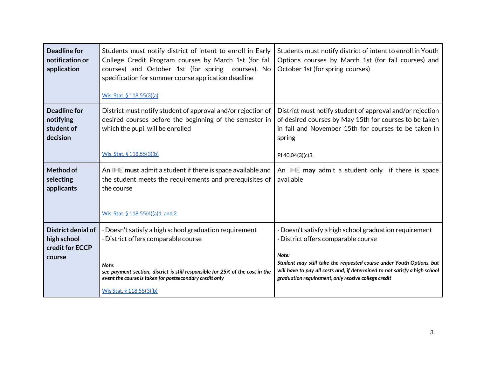| Deadline for<br>notification or<br>application             | Students must notify district of intent to enroll in Early<br>College Credit Program courses by March 1st (for fall<br>courses) and October 1st (for spring courses). No<br>specification for summer course application deadline<br><u>Wis. Stat. § 118.55(3)(a)</u> | Students must notify district of intent to enroll in Youth<br>Options courses by March 1st (for fall courses) and<br>October 1st (for spring courses)                                                              |
|------------------------------------------------------------|----------------------------------------------------------------------------------------------------------------------------------------------------------------------------------------------------------------------------------------------------------------------|--------------------------------------------------------------------------------------------------------------------------------------------------------------------------------------------------------------------|
| <b>Deadline for</b><br>notifying<br>student of<br>decision | District must notify student of approval and/or rejection of<br>desired courses before the beginning of the semester in<br>which the pupil will be enrolled                                                                                                          | District must notify student of approval and/or rejection<br>of desired courses by May 15th for courses to be taken<br>in fall and November 15th for courses to be taken in<br>spring                              |
|                                                            | Wis. Stat. § 118.55(3)(b)                                                                                                                                                                                                                                            | PI 40.04(3)(c)3.                                                                                                                                                                                                   |
| Method of<br>selecting<br>applicants                       | An IHE must admit a student if there is space available and<br>the student meets the requirements and prerequisites of<br>the course                                                                                                                                 | An IHE may admit a student only if there is space<br>available                                                                                                                                                     |
|                                                            | Wis. Stat. § 118.55(4)(a) 1. and 2.                                                                                                                                                                                                                                  |                                                                                                                                                                                                                    |
| District denial of<br>high school<br>credit for ECCP       | · Doesn't satisfy a high school graduation requirement<br>· District offers comparable course                                                                                                                                                                        | · Doesn't satisfy a high school graduation requirement<br>· District offers comparable course                                                                                                                      |
| course                                                     | Note:<br>see payment section, district is still responsible for 25% of the cost in the<br>event the course is taken for postsecondary credit only                                                                                                                    | Note:<br>Student may still take the requested course under Youth Options, but<br>will have to pay all costs and, if determined to not satisfy a high school<br>graduation requirement, only receive college credit |
|                                                            | Wis Stat. § 118.55(3)(b)                                                                                                                                                                                                                                             |                                                                                                                                                                                                                    |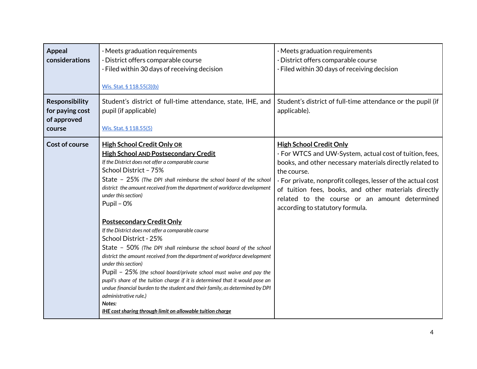| <b>Appeal</b><br>considerations                                   | $\cdot$ Meets graduation requirements<br>· District offers comparable course<br>· Filed within 30 days of receiving decision<br>Wis. Stat. § 118.55(3)(b)                                                                                                                                                                                                                                                                                                                                                                                                                                                                                  | $\cdot$ Meets graduation requirements<br>· District offers comparable course<br>· Filed within 30 days of receiving decision                                                                                                                                                                                                                                                     |
|-------------------------------------------------------------------|--------------------------------------------------------------------------------------------------------------------------------------------------------------------------------------------------------------------------------------------------------------------------------------------------------------------------------------------------------------------------------------------------------------------------------------------------------------------------------------------------------------------------------------------------------------------------------------------------------------------------------------------|----------------------------------------------------------------------------------------------------------------------------------------------------------------------------------------------------------------------------------------------------------------------------------------------------------------------------------------------------------------------------------|
| <b>Responsibility</b><br>for paying cost<br>of approved<br>course | Student's district of full-time attendance, state, IHE, and<br>pupil (if applicable)<br>Wis. Stat. § 118.55(5)                                                                                                                                                                                                                                                                                                                                                                                                                                                                                                                             | Student's district of full-time attendance or the pupil (if<br>applicable).                                                                                                                                                                                                                                                                                                      |
| <b>Cost of course</b>                                             | <b>High School Credit Only OR</b><br><b>High School AND Postsecondary Credit</b><br>If the District does not offer a comparable course<br>School District - 75%<br>State - 25% (The DPI shall reimburse the school board of the school<br>district the amount received from the department of workforce development<br>under this section)<br>Pupil - 0%                                                                                                                                                                                                                                                                                   | <b>High School Credit Only</b><br>· For WTCS and UW-System, actual cost of tuition, fees,<br>books, and other necessary materials directly related to<br>the course.<br>· For private, nonprofit colleges, lesser of the actual cost<br>of tuition fees, books, and other materials directly<br>related to the course or an amount determined<br>according to statutory formula. |
|                                                                   | <b>Postsecondary Credit Only</b><br>If the District does not offer a comparable course<br>School District - 25%<br>State - 50% (The DPI shall reimburse the school board of the school<br>district the amount received from the department of workforce development<br>under this section)<br>Pupil - 25% (the school board/private school must waive and pay the<br>pupil's share of the tuition charge if it is determined that it would pose an<br>undue financial burden to the student and their family, as determined by DPI<br>administrative rule.)<br>Notes:<br><b>IHE cost sharing through limit on allowable tuition charge</b> |                                                                                                                                                                                                                                                                                                                                                                                  |